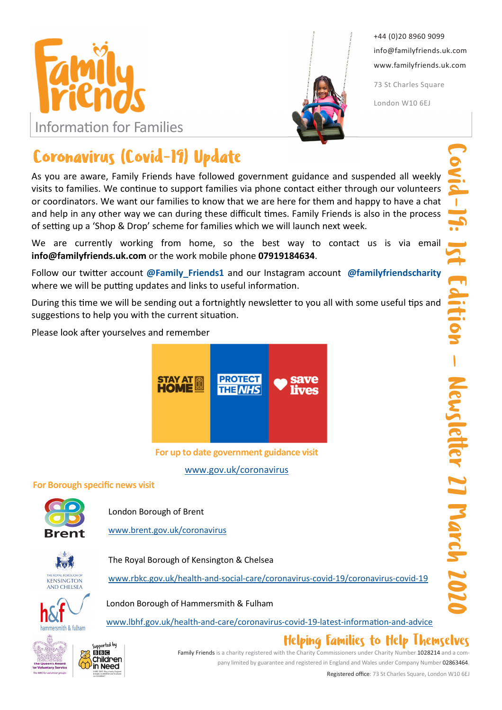



+44 (0)20 8960 9099 info@familyfriends.uk.com www.familyfriends.uk.com

73 St Charles Square

London W10 6EJ

# Coronavirus (Covid-19) Update

As you are aware, Family Friends have followed government guidance and suspended all weekly visits to families. We continue to support families via phone contact either through our volunteers or coordinators. We want our families to know that we are here for them and happy to have a chat and help in any other way we can during these difficult times. Family Friends is also in the process of setting up a 'Shop & Drop' scheme for families which we will launch next week.

We are currently working from home, so the best way to contact us is via email info@familyfriends.uk.com or the work mobile phone 07919184634.

Follow our twitter account @Family Friends1 and our Instagram account @familyfriendscharity where we will be putting updates and links to useful information.

During this time we will be sending out a fortnightly newsletter to you all with some useful tips and suggestions to help you with the current situation.

Please look after yourselves and remember



For up to date government guidance visit www.gov.uk/coronavirus

#### For Borough specific news visit

Supported by **BB**<sub>IC</sub> Children in Need



London Borough of Brent

www.brent.gov.uk/coronavirus



The Royal Borough of Kensington & Chelsea



hammersmith & fulham



London Borough of Hammersmith & Fulham

www.lbhf.gov.uk/health-and-care/coronavirus-covid-19-latest-information-and-advice

### Helping Families to Help Themselves

Family Friends is a charity registered with the Charity Commissioners under Charity Number 1028214 and a company limited by guarantee and registered in England and Wales under Company Number 02863464.